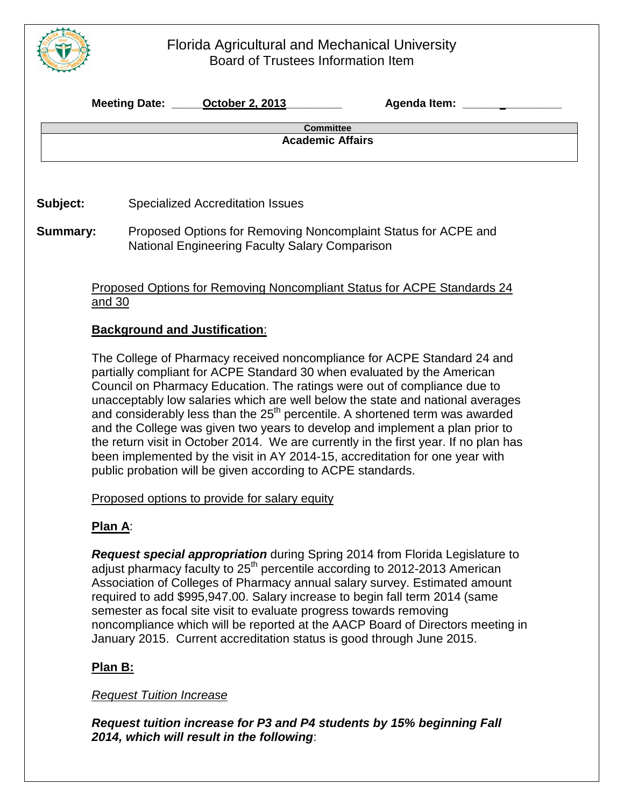## Florida Agricultural and Mechanical University Board of Trustees Information Item

|                                                                                                                                                    | Meeting Date: <b>October 2, 2013</b><br>Agenda Item: ___________                                                                                                     |  |  |  |  |
|----------------------------------------------------------------------------------------------------------------------------------------------------|----------------------------------------------------------------------------------------------------------------------------------------------------------------------|--|--|--|--|
| <b>Committee</b><br><b>Academic Affairs</b>                                                                                                        |                                                                                                                                                                      |  |  |  |  |
|                                                                                                                                                    |                                                                                                                                                                      |  |  |  |  |
| Subject:                                                                                                                                           | <b>Specialized Accreditation Issues</b>                                                                                                                              |  |  |  |  |
|                                                                                                                                                    |                                                                                                                                                                      |  |  |  |  |
| <b>Summary:</b>                                                                                                                                    | Proposed Options for Removing Noncomplaint Status for ACPE and<br>National Engineering Faculty Salary Comparison                                                     |  |  |  |  |
|                                                                                                                                                    |                                                                                                                                                                      |  |  |  |  |
|                                                                                                                                                    | <b>Proposed Options for Removing Noncompliant Status for ACPE Standards 24</b>                                                                                       |  |  |  |  |
|                                                                                                                                                    | and 30                                                                                                                                                               |  |  |  |  |
|                                                                                                                                                    | <b>Background and Justification:</b>                                                                                                                                 |  |  |  |  |
|                                                                                                                                                    |                                                                                                                                                                      |  |  |  |  |
| The College of Pharmacy received noncompliance for ACPE Standard 24 and<br>partially compliant for ACPE Standard 30 when evaluated by the American |                                                                                                                                                                      |  |  |  |  |
|                                                                                                                                                    | Council on Pharmacy Education. The ratings were out of compliance due to                                                                                             |  |  |  |  |
|                                                                                                                                                    | unacceptably low salaries which are well below the state and national averages                                                                                       |  |  |  |  |
|                                                                                                                                                    | and considerably less than the 25 <sup>th</sup> percentile. A shortened term was awarded                                                                             |  |  |  |  |
|                                                                                                                                                    | and the College was given two years to develop and implement a plan prior to<br>the return visit in October 2014. We are currently in the first year. If no plan has |  |  |  |  |
|                                                                                                                                                    | been implemented by the visit in AY 2014-15, accreditation for one year with                                                                                         |  |  |  |  |
|                                                                                                                                                    | public probation will be given according to ACPE standards.                                                                                                          |  |  |  |  |
|                                                                                                                                                    | Proposed options to provide for salary equity                                                                                                                        |  |  |  |  |
|                                                                                                                                                    |                                                                                                                                                                      |  |  |  |  |
|                                                                                                                                                    | <b>Plan A:</b>                                                                                                                                                       |  |  |  |  |
|                                                                                                                                                    | Request special appropriation during Spring 2014 from Florida Legislature to                                                                                         |  |  |  |  |
|                                                                                                                                                    | adjust pharmacy faculty to 25 <sup>th</sup> percentile according to 2012-2013 American                                                                               |  |  |  |  |
|                                                                                                                                                    | Association of Colleges of Pharmacy annual salary survey. Estimated amount<br>required to add \$995,947.00. Salary increase to begin fall term 2014 (same            |  |  |  |  |
|                                                                                                                                                    | semester as focal site visit to evaluate progress towards removing                                                                                                   |  |  |  |  |
|                                                                                                                                                    | noncompliance which will be reported at the AACP Board of Directors meeting in                                                                                       |  |  |  |  |
|                                                                                                                                                    | January 2015. Current accreditation status is good through June 2015.                                                                                                |  |  |  |  |

### **Plan B:**

#### *Request Tuition Increase*

*Request tuition increase for P3 and P4 students by 15% beginning Fall 2014, which will result in the following*: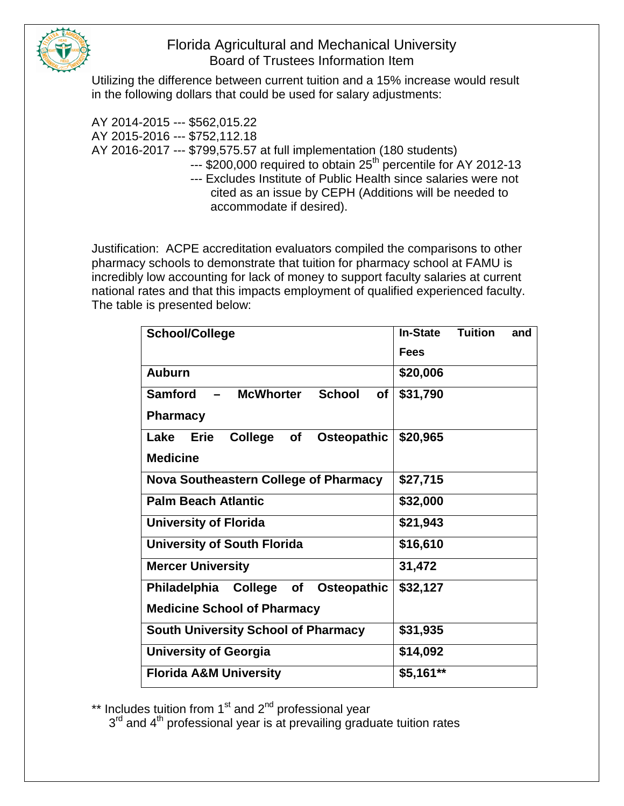

## Florida Agricultural and Mechanical University Board of Trustees Information Item

Utilizing the difference between current tuition and a 15% increase would result in the following dollars that could be used for salary adjustments:

AY 2014-2015 --- \$562,015.22 AY 2015-2016 --- \$752,112.18 AY 2016-2017 --- \$799,575.57 at full implementation (180 students)  $-$ -- $$200,000$  required to obtain  $25<sup>th</sup>$  percentile for AY 2012-13 --- Excludes Institute of Public Health since salaries were not cited as an issue by CEPH (Additions will be needed to accommodate if desired).

Justification: ACPE accreditation evaluators compiled the comparisons to other pharmacy schools to demonstrate that tuition for pharmacy school at FAMU is incredibly low accounting for lack of money to support faculty salaries at current national rates and that this impacts employment of qualified experienced faculty. The table is presented below:

| <b>School/College</b>                                                                 | <b>In-State</b> | <b>Tuition</b> | and |
|---------------------------------------------------------------------------------------|-----------------|----------------|-----|
|                                                                                       | <b>Fees</b>     |                |     |
| <b>Auburn</b>                                                                         | \$20,006        |                |     |
| <b>Samford</b><br><b>McWhorter</b><br><b>School</b><br>οf<br>$\overline{\phantom{0}}$ | \$31,790        |                |     |
| <b>Pharmacy</b>                                                                       |                 |                |     |
| Osteopathic<br>College<br>Lake<br><b>Erie</b><br><b>of</b>                            | \$20,965        |                |     |
| <b>Medicine</b>                                                                       |                 |                |     |
| <b>Nova Southeastern College of Pharmacy</b>                                          | \$27,715        |                |     |
| <b>Palm Beach Atlantic</b>                                                            | \$32,000        |                |     |
| <b>University of Florida</b>                                                          | \$21,943        |                |     |
| <b>University of South Florida</b>                                                    | \$16,610        |                |     |
| <b>Mercer University</b>                                                              | 31,472          |                |     |
| Philadelphia College of<br><b>Osteopathic</b>                                         | \$32,127        |                |     |
| <b>Medicine School of Pharmacy</b>                                                    |                 |                |     |
| <b>South University School of Pharmacy</b>                                            | \$31,935        |                |     |
| <b>University of Georgia</b>                                                          | \$14,092        |                |     |
| <b>Florida A&amp;M University</b>                                                     | $$5,161**$      |                |     |

\*\* Includes tuition from 1<sup>st</sup> and 2<sup>nd</sup> professional year

 $3<sup>rd</sup>$  and  $4<sup>th</sup>$  professional year is at prevailing graduate tuition rates